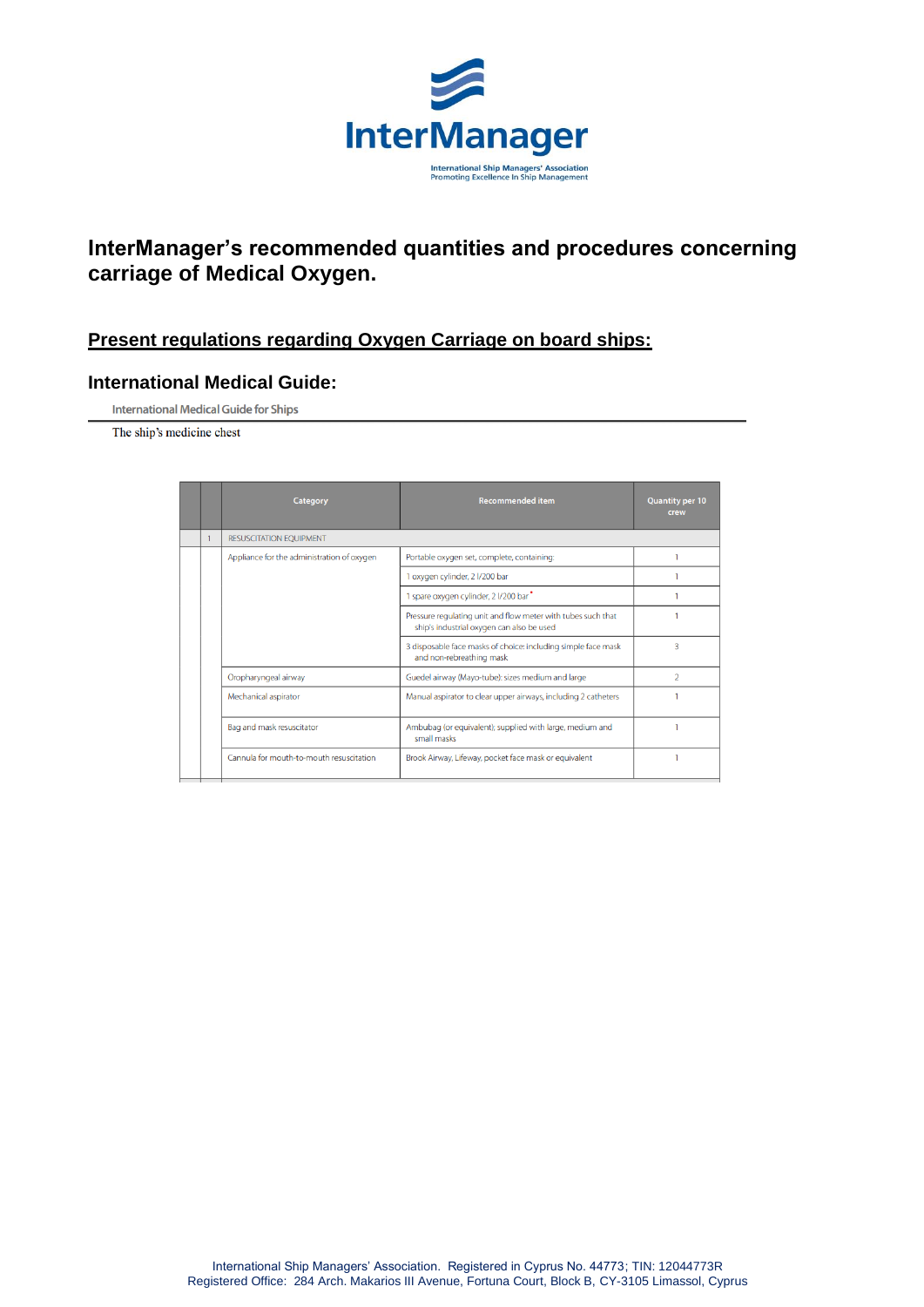

## **InterManager's recommended quantities and procedures concerning carriage of Medical Oxygen.**

## **Present regulations regarding Oxygen Carriage on board ships:**

#### **International Medical Guide:**

**International Medical Guide for Ships** 

The ship's medicine chest

|  | <b>Category</b>                            | <b>Recommended item</b>                                                                                   | <b>Quantity per 10</b><br>crew |
|--|--------------------------------------------|-----------------------------------------------------------------------------------------------------------|--------------------------------|
|  | <b>RESUSCITATION EQUIPMENT</b>             |                                                                                                           |                                |
|  | Appliance for the administration of oxygen | Portable oxygen set, complete, containing:                                                                |                                |
|  |                                            | 1 oxygen cylinder, 2 l/200 bar                                                                            |                                |
|  |                                            | 1 spare oxygen cylinder, 2 I/200 bar <sup>*</sup>                                                         |                                |
|  |                                            | Pressure regulating unit and flow meter with tubes such that<br>ship's industrial oxygen can also be used |                                |
|  |                                            | 3 disposable face masks of choice: including simple face mask<br>and non-rebreathing mask                 | 3                              |
|  | Oropharyngeal airway                       | Guedel airway (Mayo-tube): sizes medium and large                                                         | $\overline{2}$                 |
|  | Mechanical aspirator                       | Manual aspirator to clear upper airways, including 2 catheters                                            |                                |
|  | Bag and mask resuscitator                  | Ambubag (or equivalent); supplied with large, medium and<br>small masks                                   |                                |
|  | Cannula for mouth-to-mouth resuscitation   | Brook Airway, Lifeway, pocket face mask or equivalent                                                     |                                |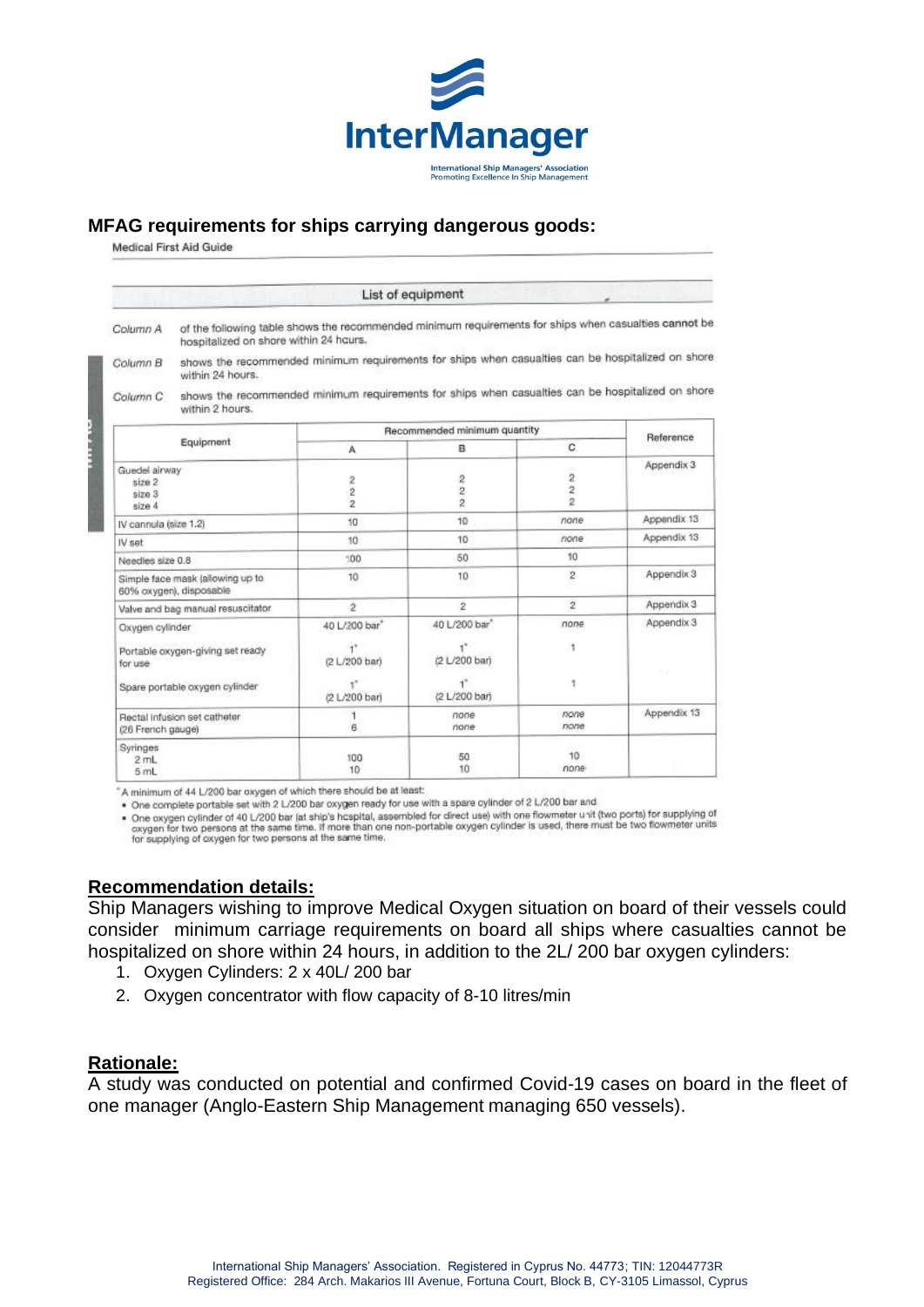

#### **MFAG requirements for ships carrying dangerous goods:**

Medical First Aid Guide

|                                                                                                                                                                    |                                                                                                                                                 |                                       | List of equipment                                                                                 |                                                    |             |  |  |
|--------------------------------------------------------------------------------------------------------------------------------------------------------------------|-------------------------------------------------------------------------------------------------------------------------------------------------|---------------------------------------|---------------------------------------------------------------------------------------------------|----------------------------------------------------|-------------|--|--|
| Column A                                                                                                                                                           | of the following table shows the recommended minimum requirements for ships when casualties cannot be<br>hospitalized on shore within 24 hours. |                                       |                                                                                                   |                                                    |             |  |  |
| Column B                                                                                                                                                           | shows the recommended minimum requirements for ships when casualties can be hospitalized on shore<br>within 24 hours.                           |                                       |                                                                                                   |                                                    |             |  |  |
| Column C                                                                                                                                                           | within 2 hours.                                                                                                                                 |                                       | shows the recommended minimum requirements for ships when casualties can be hospitalized on shore |                                                    |             |  |  |
|                                                                                                                                                                    | Recommended minimum quantity                                                                                                                    |                                       |                                                                                                   | Reference                                          |             |  |  |
|                                                                                                                                                                    | Equipment                                                                                                                                       | A                                     | в                                                                                                 | C                                                  |             |  |  |
| Guedel airway<br>size 2<br>size 3<br>size 4                                                                                                                        |                                                                                                                                                 | 2<br>$\overline{c}$<br>$\overline{2}$ | $\overline{2}$<br>$\overline{2}$<br>$\overline{2}$                                                | $\overline{2}$<br>$\overline{2}$<br>$\overline{2}$ | Appendix 3  |  |  |
| IV cannula (size 1.2)                                                                                                                                              |                                                                                                                                                 | 10 <sup>1</sup>                       | 10                                                                                                | none                                               | Appendix 13 |  |  |
| IV set                                                                                                                                                             |                                                                                                                                                 | 10                                    | 10                                                                                                | none                                               | Appendix 13 |  |  |
| Needles size 0.8                                                                                                                                                   |                                                                                                                                                 | $100 -$                               | 50                                                                                                | 10                                                 |             |  |  |
| Simple face mask (allowing up to<br>60% oxygen), disposable<br>Valve and bag manual resuscitator.                                                                  |                                                                                                                                                 | 10                                    | 10                                                                                                | $\overline{2}$                                     | Appendix 3  |  |  |
|                                                                                                                                                                    |                                                                                                                                                 | $\mathfrak{p}$                        | $\overline{2}$                                                                                    | $\overline{2}$                                     | Appendix 3  |  |  |
| Oxygen cylinder                                                                                                                                                    |                                                                                                                                                 | 40 L/200 bar <sup>*</sup>             | 40 L/200 bar"                                                                                     | none                                               | Appendix 3  |  |  |
| Portable oxygen-giving set ready<br>for use<br>Spare portable oxygen cylinder<br>Rectal infusion set catheter<br>(26 French gauge)<br>Syringes<br>$2$ mL<br>$5m$ L |                                                                                                                                                 | $+$<br>(2 L/200 bar)                  | (2 L/200 bar)                                                                                     | ۰                                                  |             |  |  |
|                                                                                                                                                                    |                                                                                                                                                 | (2 L/200 bar)                         | ď.<br>(2 L/200 bar)                                                                               | х                                                  |             |  |  |
|                                                                                                                                                                    |                                                                                                                                                 | A.                                    | none<br>none                                                                                      | none<br>none                                       | Appendix 13 |  |  |
|                                                                                                                                                                    |                                                                                                                                                 | 100<br>10                             | 50<br>10                                                                                          | 10 <sup>°</sup><br>none                            |             |  |  |

"A minimum of 44 L/200 bar oxygen of which there should be at least:

. One complete portable set with 2 L/200 bar oxygen ready for use with a spare cylinder of 2 L/200 bar and

• One complete portable set with 2 1.200 bar by germeady for due with a space symbol net fowmeter unit (two ports) for supplying of<br>• One oxygen cylinder of 40 L/200 bar (at ship's hospital, assembled for direct use) with One oxygen cylinder of 40 L/200 bar (at ship's hospital, assembled for direct use) with one howmeter unit (two ports) for supprying or<br>oxygen for two persons at the same time. If more than one non-portable oxygen cylinder

#### **Recommendation details:**

Ship Managers wishing to improve Medical Oxygen situation on board of their vessels could consider minimum carriage requirements on board all ships where casualties cannot be hospitalized on shore within 24 hours, in addition to the 2L/ 200 bar oxygen cylinders:

- 1. Oxygen Cylinders: 2 x 40L/ 200 bar
- 2. Oxygen concentrator with flow capacity of 8-10 litres/min

#### **Rationale:**

A study was conducted on potential and confirmed Covid-19 cases on board in the fleet of one manager (Anglo-Eastern Ship Management managing 650 vessels).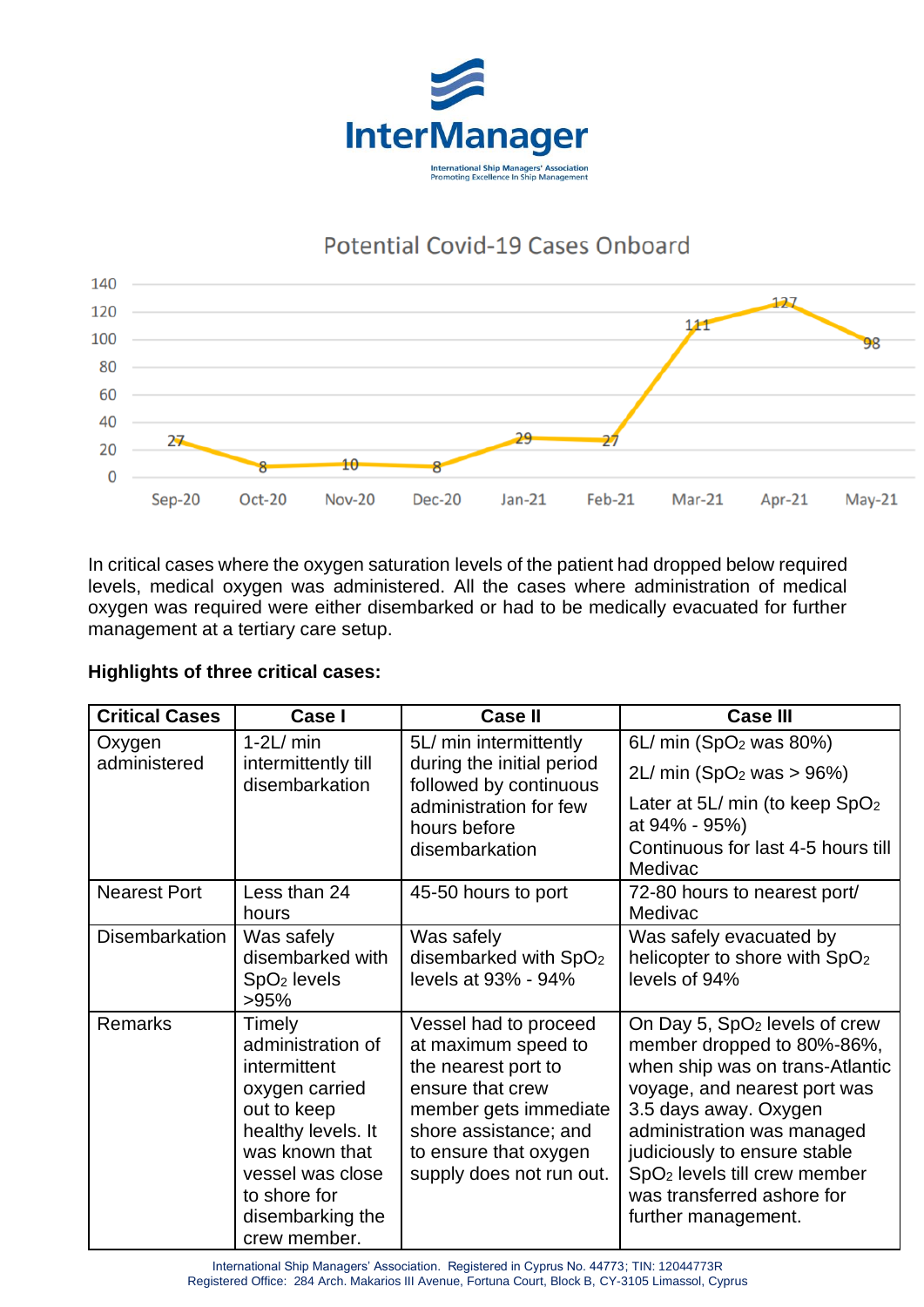

# Potential Covid-19 Cases Onboard



In critical cases where the oxygen saturation levels of the patient had dropped below required levels, medical oxygen was administered. All the cases where administration of medical oxygen was required were either disembarked or had to be medically evacuated for further management at a tertiary care setup.

## **Highlights of three critical cases:**

| <b>Critical Cases</b> | Case I                                                                                                                                                                                       | <b>Case II</b>                                                                                                                                                                                 | <b>Case III</b>                                                                                                                                                                                                                                                                                                                    |
|-----------------------|----------------------------------------------------------------------------------------------------------------------------------------------------------------------------------------------|------------------------------------------------------------------------------------------------------------------------------------------------------------------------------------------------|------------------------------------------------------------------------------------------------------------------------------------------------------------------------------------------------------------------------------------------------------------------------------------------------------------------------------------|
| Oxygen                | $1-2L/min$                                                                                                                                                                                   | 5L/ min intermittently<br>during the initial period<br>followed by continuous                                                                                                                  | 6L/ min (SpO <sub>2</sub> was 80%)                                                                                                                                                                                                                                                                                                 |
| administered          | intermittently till<br>disembarkation                                                                                                                                                        |                                                                                                                                                                                                | 2L/min (SpO <sub>2</sub> was > 96%)                                                                                                                                                                                                                                                                                                |
|                       |                                                                                                                                                                                              | administration for few<br>hours before                                                                                                                                                         | Later at 5L/ min (to keep SpO <sub>2</sub><br>at 94% - 95%)                                                                                                                                                                                                                                                                        |
|                       |                                                                                                                                                                                              | disembarkation                                                                                                                                                                                 | Continuous for last 4-5 hours till<br>Medivac                                                                                                                                                                                                                                                                                      |
| <b>Nearest Port</b>   | Less than 24<br>hours                                                                                                                                                                        | 45-50 hours to port                                                                                                                                                                            | 72-80 hours to nearest port/<br>Medivac                                                                                                                                                                                                                                                                                            |
| <b>Disembarkation</b> | Was safely<br>disembarked with<br>$SpO2$ levels<br>>95%                                                                                                                                      | Was safely<br>disembarked with SpO <sub>2</sub><br>levels at 93% - 94%                                                                                                                         | Was safely evacuated by<br>helicopter to shore with SpO <sub>2</sub><br>levels of 94%                                                                                                                                                                                                                                              |
| <b>Remarks</b>        | Timely<br>administration of<br>intermittent<br>oxygen carried<br>out to keep<br>healthy levels. It<br>was known that<br>vessel was close<br>to shore for<br>disembarking the<br>crew member. | Vessel had to proceed<br>at maximum speed to<br>the nearest port to<br>ensure that crew<br>member gets immediate<br>shore assistance; and<br>to ensure that oxygen<br>supply does not run out. | On Day 5, SpO <sub>2</sub> levels of crew<br>member dropped to 80%-86%,<br>when ship was on trans-Atlantic<br>voyage, and nearest port was<br>3.5 days away. Oxygen<br>administration was managed<br>judiciously to ensure stable<br>SpO <sub>2</sub> levels till crew member<br>was transferred ashore for<br>further management. |

International Ship Managers' Association. Registered in Cyprus No. 44773; TIN: 12044773R Registered Office: 284 Arch. Makarios III Avenue, Fortuna Court, Block B, CY-3105 Limassol, Cyprus